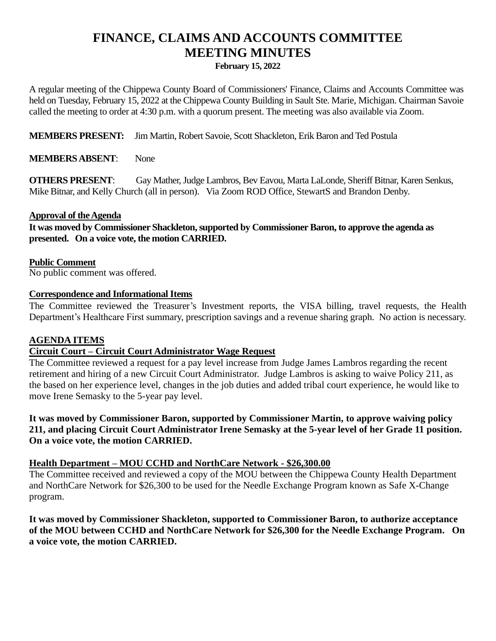# **FINANCE, CLAIMS AND ACCOUNTS COMMITTEE MEETING MINUTES**

**February 15, 2022**

A regular meeting of the Chippewa County Board of Commissioners' Finance, Claims and Accounts Committee was held on Tuesday, February 15, 2022 at the Chippewa County Building in Sault Ste. Marie, Michigan. Chairman Savoie called the meeting to order at 4:30 p.m. with a quorum present. The meeting was also available via Zoom.

**MEMBERS PRESENT:** Jim Martin, Robert Savoie, Scott Shackleton, Erik Baron and Ted Postula

**MEMBERS ABSENT**: None

**OTHERS PRESENT**: Gay Mather, Judge Lambros, Bev Eavou, Marta LaLonde, Sheriff Bitnar, Karen Senkus, Mike Bitnar, and Kelly Church (all in person). Via Zoom ROD Office, StewartS and Brandon Denby.

#### **Approval of the Agenda**

It was moved by Commissioner Shackleton, supported by Commissioner Baron, to approve the agenda as **presented. On a voice vote, the motion CARRIED.**

#### **Public Comment**

No public comment was offered.

#### **Correspondence and Informational Items**

The Committee reviewed the Treasurer's Investment reports, the VISA billing, travel requests, the Health Department's Healthcare First summary, prescription savings and a revenue sharing graph. No action is necessary.

#### **AGENDA ITEMS**

#### **Circuit Court – Circuit Court Administrator Wage Request**

The Committee reviewed a request for a pay level increase from Judge James Lambros regarding the recent retirement and hiring of a new Circuit Court Administrator. Judge Lambros is asking to waive Policy 211, as the based on her experience level, changes in the job duties and added tribal court experience, he would like to move Irene Semasky to the 5-year pay level.

**It was moved by Commissioner Baron, supported by Commissioner Martin, to approve waiving policy 211, and placing Circuit Court Administrator Irene Semasky at the 5-year level of her Grade 11 position. On a voice vote, the motion CARRIED.**

#### **Health Department – MOU CCHD and NorthCare Network - \$26,300.00**

The Committee received and reviewed a copy of the MOU between the Chippewa County Health Department and NorthCare Network for \$26,300 to be used for the Needle Exchange Program known as Safe X-Change program.

**It was moved by Commissioner Shackleton, supported to Commissioner Baron, to authorize acceptance of the MOU between CCHD and NorthCare Network for \$26,300 for the Needle Exchange Program. On a voice vote, the motion CARRIED.**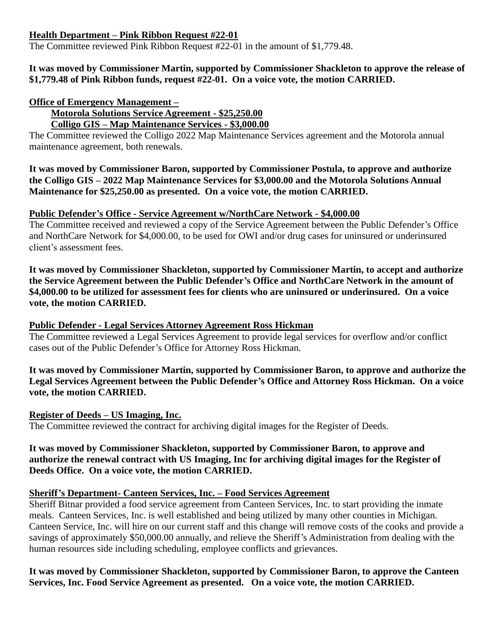### **Health Department – Pink Ribbon Request #22-01**

The Committee reviewed Pink Ribbon Request #22-01 in the amount of \$1,779.48.

#### **It was moved by Commissioner Martin, supported by Commissioner Shackleton to approve the release of \$1,779.48 of Pink Ribbon funds, request #22-01. On a voice vote, the motion CARRIED.**

### **Office of Emergency Management –**

**Motorola Solutions Service Agreement - \$25,250.00**

**Colligo GIS – Map Maintenance Services - \$3,000.00**

The Committee reviewed the Colligo 2022 Map Maintenance Services agreement and the Motorola annual maintenance agreement, both renewals.

**It was moved by Commissioner Baron, supported by Commissioner Postula, to approve and authorize the Colligo GIS – 2022 Map Maintenance Services for \$3,000.00 and the Motorola Solutions Annual Maintenance for \$25,250.00 as presented. On a voice vote, the motion CARRIED.**

## **Public Defender's Office - Service Agreement w/NorthCare Network - \$4,000.00**

The Committee received and reviewed a copy of the Service Agreement between the Public Defender's Office and NorthCare Network for \$4,000.00, to be used for OWI and/or drug cases for uninsured or underinsured client's assessment fees.

**It was moved by Commissioner Shackleton, supported by Commissioner Martin, to accept and authorize the Service Agreement between the Public Defender's Office and NorthCare Network in the amount of \$4,000.00 to be utilized for assessment fees for clients who are uninsured or underinsured. On a voice vote, the motion CARRIED.**

### **Public Defender - Legal Services Attorney Agreement Ross Hickman**

The Committee reviewed a Legal Services Agreement to provide legal services for overflow and/or conflict cases out of the Public Defender's Office for Attorney Ross Hickman.

**It was moved by Commissioner Martin, supported by Commissioner Baron, to approve and authorize the Legal Services Agreement between the Public Defender's Office and Attorney Ross Hickman. On a voice vote, the motion CARRIED.**

#### **Register of Deeds – US Imaging, Inc.**

The Committee reviewed the contract for archiving digital images for the Register of Deeds.

#### **It was moved by Commissioner Shackleton, supported by Commissioner Baron, to approve and authorize the renewal contract with US Imaging, Inc for archiving digital images for the Register of Deeds Office. On a voice vote, the motion CARRIED.**

#### **Sheriff's Department- Canteen Services, Inc. – Food Services Agreement**

Sheriff Bitnar provided a food service agreement from Canteen Services, Inc. to start providing the inmate meals. Canteen Services, Inc. is well established and being utilized by many other counties in Michigan. Canteen Service, Inc. will hire on our current staff and this change will remove costs of the cooks and provide a savings of approximately \$50,000.00 annually, and relieve the Sheriff's Administration from dealing with the human resources side including scheduling, employee conflicts and grievances.

## **It was moved by Commissioner Shackleton, supported by Commissioner Baron, to approve the Canteen Services, Inc. Food Service Agreement as presented. On a voice vote, the motion CARRIED.**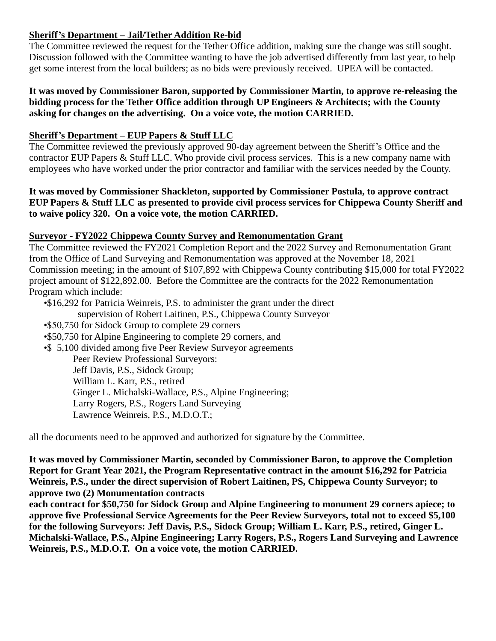## **Sheriff's Department – Jail/Tether Addition Re-bid**

The Committee reviewed the request for the Tether Office addition, making sure the change was still sought. Discussion followed with the Committee wanting to have the job advertised differently from last year, to help get some interest from the local builders; as no bids were previously received. UPEA will be contacted.

#### **It was moved by Commissioner Baron, supported by Commissioner Martin, to approve re-releasing the bidding process for the Tether Office addition through UP Engineers & Architects; with the County asking for changes on the advertising. On a voice vote, the motion CARRIED.**

### **Sheriff's Department – EUP Papers & Stuff LLC**

The Committee reviewed the previously approved 90-day agreement between the Sheriff's Office and the contractor EUP Papers & Stuff LLC. Who provide civil process services. This is a new company name with employees who have worked under the prior contractor and familiar with the services needed by the County.

#### **It was moved by Commissioner Shackleton, supported by Commissioner Postula, to approve contract EUP Papers & Stuff LLC as presented to provide civil process services for Chippewa County Sheriff and to waive policy 320. On a voice vote, the motion CARRIED.**

#### **Surveyor - FY2022 Chippewa County Survey and Remonumentation Grant**

The Committee reviewed the FY2021 Completion Report and the 2022 Survey and Remonumentation Grant from the Office of Land Surveying and Remonumentation was approved at the November 18, 2021 Commission meeting; in the amount of \$107,892 with Chippewa County contributing \$15,000 for total FY2022 project amount of \$122,892.00. Before the Committee are the contracts for the 2022 Remonumentation Program which include:

•\$16,292 for Patricia Weinreis, P.S. to administer the grant under the direct supervision of Robert Laitinen, P.S., Chippewa County Surveyor •\$50,750 for Sidock Group to complete 29 corners •\$50,750 for Alpine Engineering to complete 29 corners, and •\$ 5,100 divided among five Peer Review Surveyor agreements Peer Review Professional Surveyors: Jeff Davis, P.S., Sidock Group; William L. Karr, P.S., retired Ginger L. Michalski-Wallace, P.S., Alpine Engineering; Larry Rogers, P.S., Rogers Land Surveying Lawrence Weinreis, P.S., M.D.O.T.;

all the documents need to be approved and authorized for signature by the Committee.

**It was moved by Commissioner Martin, seconded by Commissioner Baron, to approve the Completion Report for Grant Year 2021, the Program Representative contract in the amount \$16,292 for Patricia Weinreis, P.S., under the direct supervision of Robert Laitinen, PS, Chippewa County Surveyor; to approve two (2) Monumentation contracts** 

**each contract for \$50,750 for Sidock Group and Alpine Engineering to monument 29 corners apiece; to approve five Professional Service Agreements for the Peer Review Surveyors, total not to exceed \$5,100 for the following Surveyors: Jeff Davis, P.S., Sidock Group; William L. Karr, P.S., retired, Ginger L. Michalski-Wallace, P.S., Alpine Engineering; Larry Rogers, P.S., Rogers Land Surveying and Lawrence Weinreis, P.S., M.D.O.T. On a voice vote, the motion CARRIED.**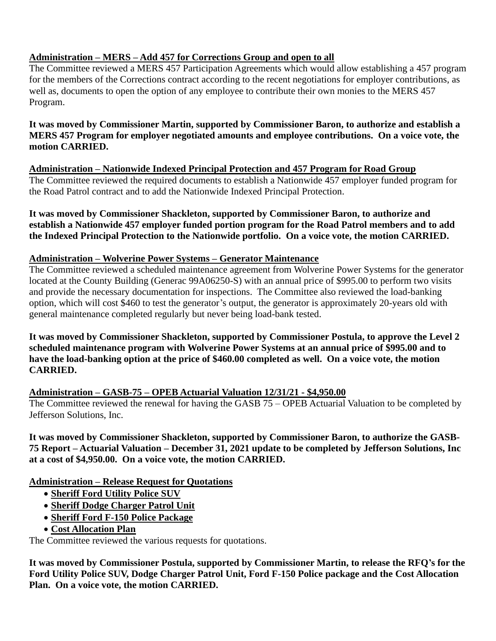# **Administration – MERS – Add 457 for Corrections Group and open to all**

The Committee reviewed a MERS 457 Participation Agreements which would allow establishing a 457 program for the members of the Corrections contract according to the recent negotiations for employer contributions, as well as, documents to open the option of any employee to contribute their own monies to the MERS 457 Program.

#### **It was moved by Commissioner Martin, supported by Commissioner Baron, to authorize and establish a MERS 457 Program for employer negotiated amounts and employee contributions. On a voice vote, the motion CARRIED.**

**Administration – Nationwide Indexed Principal Protection and 457 Program for Road Group** The Committee reviewed the required documents to establish a Nationwide 457 employer funded program for the Road Patrol contract and to add the Nationwide Indexed Principal Protection.

**It was moved by Commissioner Shackleton, supported by Commissioner Baron, to authorize and establish a Nationwide 457 employer funded portion program for the Road Patrol members and to add the Indexed Principal Protection to the Nationwide portfolio. On a voice vote, the motion CARRIED.**

## **Administration – Wolverine Power Systems – Generator Maintenance**

The Committee reviewed a scheduled maintenance agreement from Wolverine Power Systems for the generator located at the County Building (Generac 99A06250-S) with an annual price of \$995.00 to perform two visits and provide the necessary documentation for inspections. The Committee also reviewed the load-banking option, which will cost \$460 to test the generator's output, the generator is approximately 20-years old with general maintenance completed regularly but never being load-bank tested.

**It was moved by Commissioner Shackleton, supported by Commissioner Postula, to approve the Level 2 scheduled maintenance program with Wolverine Power Systems at an annual price of \$995.00 and to have the load-banking option at the price of \$460.00 completed as well. On a voice vote, the motion CARRIED.**

## **Administration – GASB-75 – OPEB Actuarial Valuation 12/31/21 - \$4,950.00**

The Committee reviewed the renewal for having the GASB 75 – OPEB Actuarial Valuation to be completed by Jefferson Solutions, Inc.

**It was moved by Commissioner Shackleton, supported by Commissioner Baron, to authorize the GASB-75 Report – Actuarial Valuation – December 31, 2021 update to be completed by Jefferson Solutions, Inc at a cost of \$4,950.00. On a voice vote, the motion CARRIED.**

## **Administration – Release Request for Quotations**

- **Sheriff Ford Utility Police SUV**
- **Sheriff Dodge Charger Patrol Unit**
- **Sheriff Ford F-150 Police Package**
- **Cost Allocation Plan**

The Committee reviewed the various requests for quotations.

**It was moved by Commissioner Postula, supported by Commissioner Martin, to release the RFQ's for the Ford Utility Police SUV, Dodge Charger Patrol Unit, Ford F-150 Police package and the Cost Allocation Plan. On a voice vote, the motion CARRIED.**